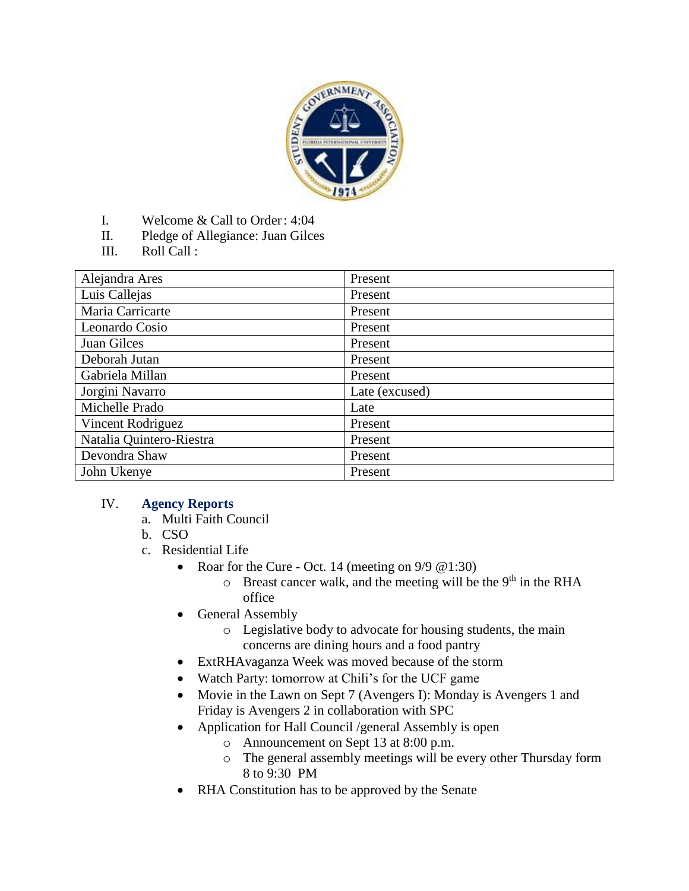

- I. Welcome & Call to Order: 4:04
- II. Pledge of Allegiance: Juan Gilces
- III. Roll Call :

| Alejandra Ares           | Present        |
|--------------------------|----------------|
| Luis Callejas            | Present        |
| Maria Carricarte         | Present        |
| Leonardo Cosio           | Present        |
| Juan Gilces              | Present        |
| Deborah Jutan            | Present        |
| Gabriela Millan          | Present        |
| Jorgini Navarro          | Late (excused) |
| Michelle Prado           | Late           |
| Vincent Rodriguez        | Present        |
| Natalia Quintero-Riestra | Present        |
| Devondra Shaw            | Present        |
| John Ukenye              | Present        |

#### IV. **Agency Reports**

- a. Multi Faith Council
- b. CSO
- c. Residential Life
	- Roar for the Cure Oct. 14 (meeting on  $9/9$  @1:30)
		- $\circ$  Breast cancer walk, and the meeting will be the 9<sup>th</sup> in the RHA office
	- General Assembly
		- o Legislative body to advocate for housing students, the main concerns are dining hours and a food pantry
	- ExtRHAvaganza Week was moved because of the storm
	- Watch Party: tomorrow at Chili's for the UCF game
	- Movie in the Lawn on Sept 7 (Avengers I): Monday is Avengers 1 and Friday is Avengers 2 in collaboration with SPC
	- Application for Hall Council /general Assembly is open
		- o Announcement on Sept 13 at 8:00 p.m.
		- o The general assembly meetings will be every other Thursday form 8 to 9:30 PM
	- RHA Constitution has to be approved by the Senate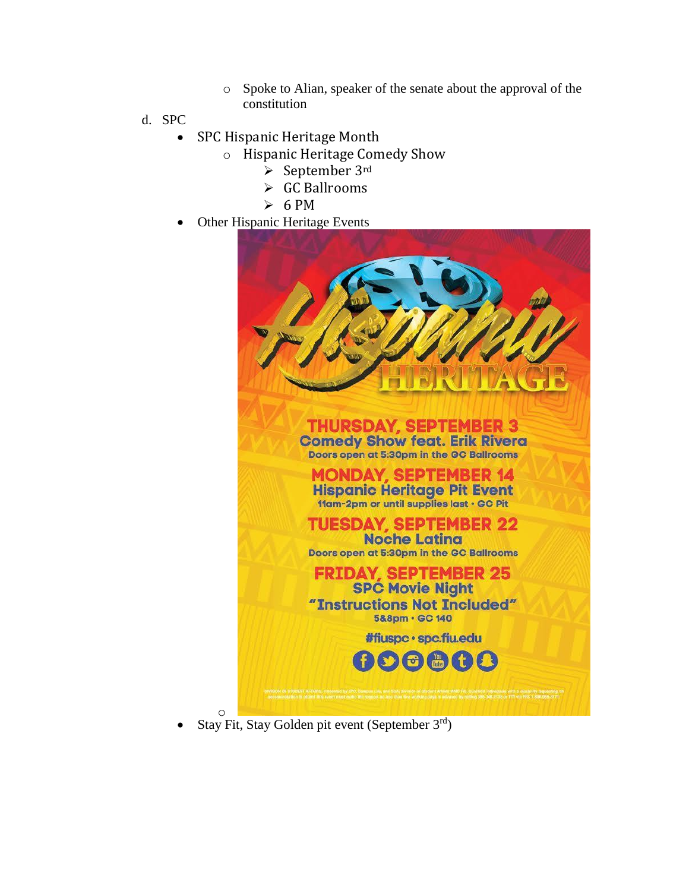- o Spoke to Alian, speaker of the senate about the approval of the constitution
- d. SPC
	- SPC Hispanic Heritage Month
		- o Hispanic Heritage Comedy Show
			- $\triangleright$  September 3rd
			- GC Ballrooms
			- $> 6 PM$
	- Other Hispanic Heritage Events



• Stay Fit, Stay Golden pit event (September  $3<sup>rd</sup>$ )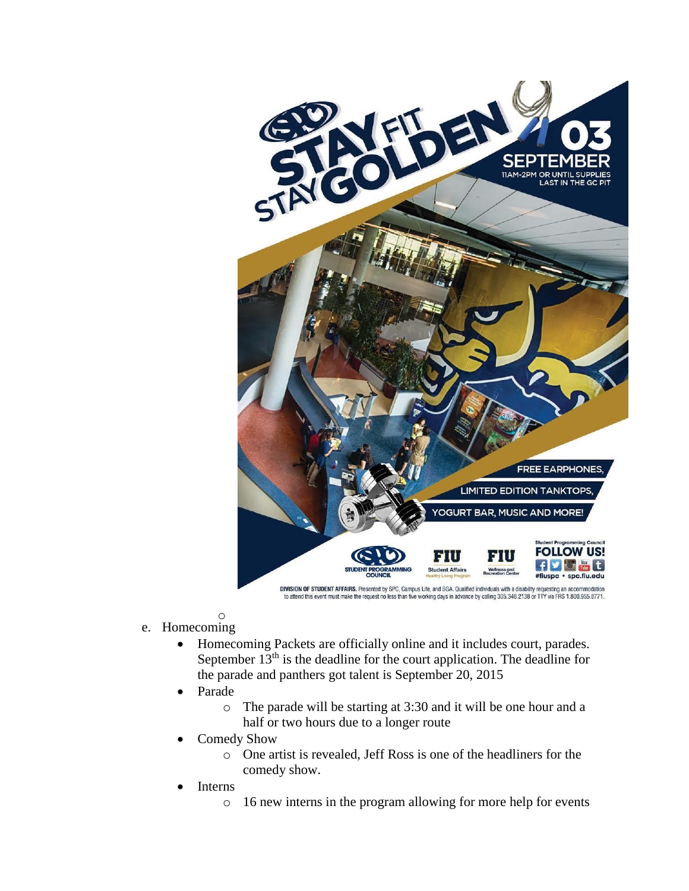

DIVISION OF STUDENT AFFAIRS. Presented by SPC, Campus Life, and SGA. Qualified individuals with a disability requesting an accommodation to attend this event must make the request no less than five working days in advance

- o e. Homecoming
	- Homecoming Packets are officially online and it includes court, parades. September  $13<sup>th</sup>$  is the deadline for the court application. The deadline for the parade and panthers got talent is September 20, 2015
	- Parade
		- o The parade will be starting at 3:30 and it will be one hour and a half or two hours due to a longer route
	- Comedy Show
		- o One artist is revealed, Jeff Ross is one of the headliners for the comedy show.
	- Interns
		- o 16 new interns in the program allowing for more help for events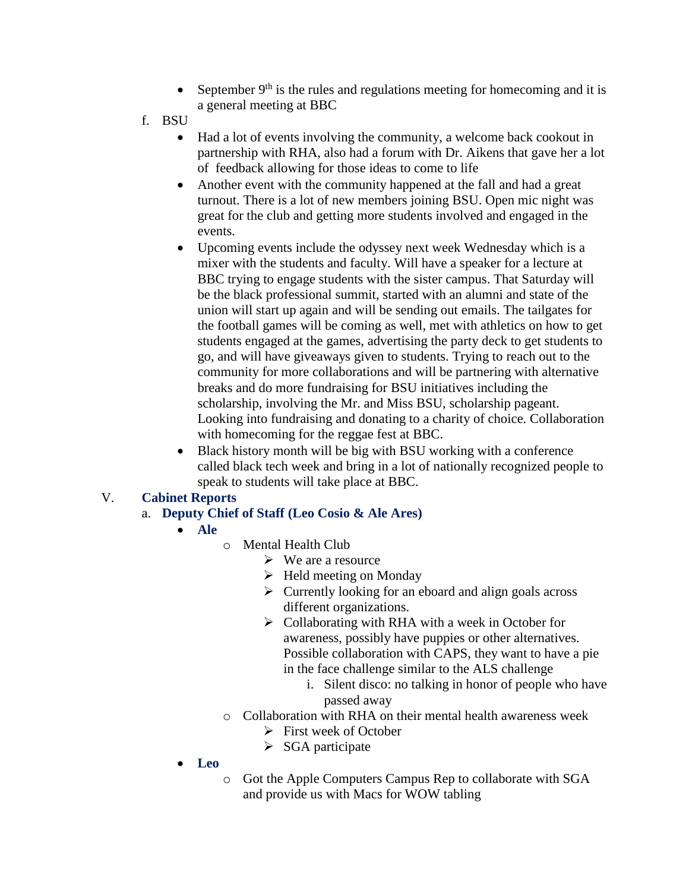- September  $9<sup>th</sup>$  is the rules and regulations meeting for homecoming and it is a general meeting at BBC
- f. BSU
	- Had a lot of events involving the community, a welcome back cookout in partnership with RHA, also had a forum with Dr. Aikens that gave her a lot of feedback allowing for those ideas to come to life
	- Another event with the community happened at the fall and had a great turnout. There is a lot of new members joining BSU. Open mic night was great for the club and getting more students involved and engaged in the events.
	- Upcoming events include the odyssey next week Wednesday which is a mixer with the students and faculty. Will have a speaker for a lecture at BBC trying to engage students with the sister campus. That Saturday will be the black professional summit, started with an alumni and state of the union will start up again and will be sending out emails. The tailgates for the football games will be coming as well, met with athletics on how to get students engaged at the games, advertising the party deck to get students to go, and will have giveaways given to students. Trying to reach out to the community for more collaborations and will be partnering with alternative breaks and do more fundraising for BSU initiatives including the scholarship, involving the Mr. and Miss BSU, scholarship pageant. Looking into fundraising and donating to a charity of choice. Collaboration with homecoming for the reggae fest at BBC.
	- Black history month will be big with BSU working with a conference called black tech week and bring in a lot of nationally recognized people to speak to students will take place at BBC.

#### V. **Cabinet Reports**

- a. **Deputy Chief of Staff (Leo Cosio & Ale Ares)**
	- **Ale**
- o Mental Health Club
	- $\triangleright$  We are a resource
	- $\blacktriangleright$  Held meeting on Monday
	- $\triangleright$  Currently looking for an eboard and align goals across different organizations.
	- $\triangleright$  Collaborating with RHA with a week in October for awareness, possibly have puppies or other alternatives. Possible collaboration with CAPS, they want to have a pie in the face challenge similar to the ALS challenge
		- i. Silent disco: no talking in honor of people who have passed away
- o Collaboration with RHA on their mental health awareness week
	- $\triangleright$  First week of October
	- $\triangleright$  SGA participate
- **Leo**
	- o Got the Apple Computers Campus Rep to collaborate with SGA and provide us with Macs for WOW tabling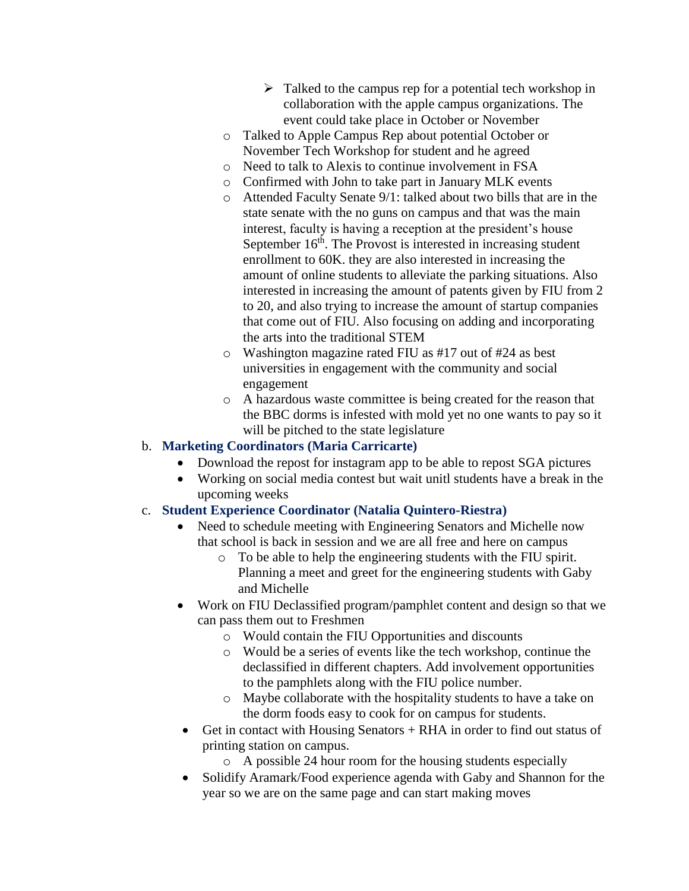- $\triangleright$  Talked to the campus rep for a potential tech workshop in collaboration with the apple campus organizations. The event could take place in October or November
- o Talked to Apple Campus Rep about potential October or November Tech Workshop for student and he agreed
- o Need to talk to Alexis to continue involvement in FSA
- o Confirmed with John to take part in January MLK events
- o Attended Faculty Senate 9/1: talked about two bills that are in the state senate with the no guns on campus and that was the main interest, faculty is having a reception at the president's house September  $16<sup>th</sup>$ . The Provost is interested in increasing student enrollment to 60K. they are also interested in increasing the amount of online students to alleviate the parking situations. Also interested in increasing the amount of patents given by FIU from 2 to 20, and also trying to increase the amount of startup companies that come out of FIU. Also focusing on adding and incorporating the arts into the traditional STEM
- o Washington magazine rated FIU as #17 out of #24 as best universities in engagement with the community and social engagement
- o A hazardous waste committee is being created for the reason that the BBC dorms is infested with mold yet no one wants to pay so it will be pitched to the state legislature

#### b. **Marketing Coordinators (Maria Carricarte)**

- Download the repost for instagram app to be able to repost SGA pictures
- Working on social media contest but wait unitl students have a break in the upcoming weeks

## c. **Student Experience Coordinator (Natalia Quintero-Riestra)**

- Need to schedule meeting with Engineering Senators and Michelle now that school is back in session and we are all free and here on campus
	- o To be able to help the engineering students with the FIU spirit. Planning a meet and greet for the engineering students with Gaby and Michelle
- Work on FIU Declassified program/pamphlet content and design so that we can pass them out to Freshmen
	- o Would contain the FIU Opportunities and discounts
	- o Would be a series of events like the tech workshop, continue the declassified in different chapters. Add involvement opportunities to the pamphlets along with the FIU police number.
	- o Maybe collaborate with the hospitality students to have a take on the dorm foods easy to cook for on campus for students.
- Get in contact with Housing Senators  $+$  RHA in order to find out status of printing station on campus.
	- o A possible 24 hour room for the housing students especially
- Solidify Aramark/Food experience agenda with Gaby and Shannon for the year so we are on the same page and can start making moves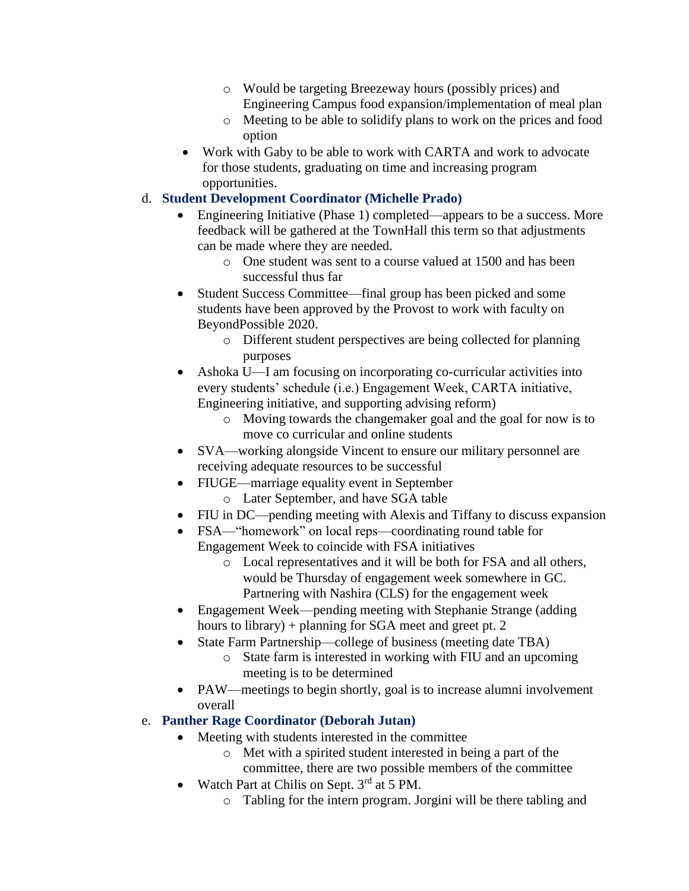- o Would be targeting Breezeway hours (possibly prices) and Engineering Campus food expansion/implementation of meal plan
- o Meeting to be able to solidify plans to work on the prices and food option
- Work with Gaby to be able to work with CARTA and work to advocate for those students, graduating on time and increasing program opportunities.

## d. **Student Development Coordinator (Michelle Prado)**

- Engineering Initiative (Phase 1) completed—appears to be a success. More feedback will be gathered at the TownHall this term so that adjustments can be made where they are needed.
	- o One student was sent to a course valued at 1500 and has been successful thus far
- Student Success Committee—final group has been picked and some students have been approved by the Provost to work with faculty on BeyondPossible 2020.
	- o Different student perspectives are being collected for planning purposes
- Ashoka U—I am focusing on incorporating co-curricular activities into every students' schedule (i.e.) Engagement Week, CARTA initiative, Engineering initiative, and supporting advising reform)
	- o Moving towards the changemaker goal and the goal for now is to move co curricular and online students
- SVA—working alongside Vincent to ensure our military personnel are receiving adequate resources to be successful
- FIUGE—marriage equality event in September
	- o Later September, and have SGA table
- FIU in DC—pending meeting with Alexis and Tiffany to discuss expansion
- FSA—"homework" on local reps—coordinating round table for Engagement Week to coincide with FSA initiatives
	- o Local representatives and it will be both for FSA and all others, would be Thursday of engagement week somewhere in GC. Partnering with Nashira (CLS) for the engagement week
- Engagement Week—pending meeting with Stephanie Strange (adding hours to library) + planning for SGA meet and greet pt. 2
- State Farm Partnership—college of business (meeting date TBA)
	- o State farm is interested in working with FIU and an upcoming meeting is to be determined
- PAW—meetings to begin shortly, goal is to increase alumni involvement overall

# e. **Panther Rage Coordinator (Deborah Jutan)**

- Meeting with students interested in the committee
	- o Met with a spirited student interested in being a part of the committee, there are two possible members of the committee
- Watch Part at Chilis on Sept.  $3<sup>rd</sup>$  at 5 PM.
	- o Tabling for the intern program. Jorgini will be there tabling and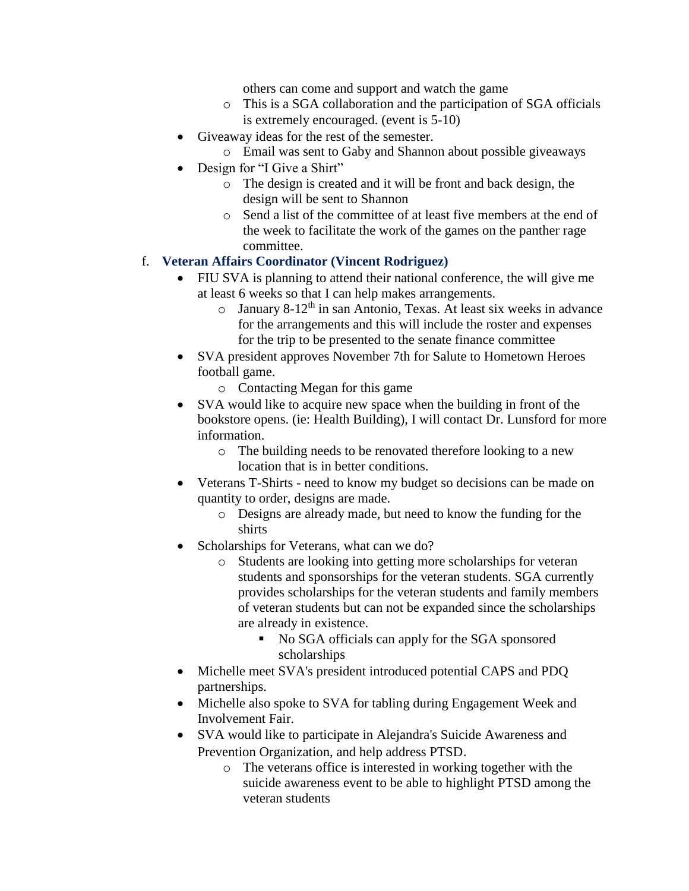others can come and support and watch the game

- o This is a SGA collaboration and the participation of SGA officials is extremely encouraged. (event is 5-10)
- Giveaway ideas for the rest of the semester.
	- o Email was sent to Gaby and Shannon about possible giveaways
- Design for "I Give a Shirt"
	- o The design is created and it will be front and back design, the design will be sent to Shannon
	- o Send a list of the committee of at least five members at the end of the week to facilitate the work of the games on the panther rage committee.

## f. **Veteran Affairs Coordinator (Vincent Rodriguez)**

- FIU SVA is planning to attend their national conference, the will give me at least 6 weeks so that I can help makes arrangements.
	- $\circ$  January 8-12<sup>th</sup> in san Antonio, Texas. At least six weeks in advance for the arrangements and this will include the roster and expenses for the trip to be presented to the senate finance committee
- SVA president approves November 7th for Salute to Hometown Heroes football game.
	- o Contacting Megan for this game
- SVA would like to acquire new space when the building in front of the bookstore opens. (ie: Health Building), I will contact Dr. Lunsford for more information.
	- o The building needs to be renovated therefore looking to a new location that is in better conditions.
- Veterans T-Shirts need to know my budget so decisions can be made on quantity to order, designs are made.
	- o Designs are already made, but need to know the funding for the shirts
- Scholarships for Veterans, what can we do?
	- o Students are looking into getting more scholarships for veteran students and sponsorships for the veteran students. SGA currently provides scholarships for the veteran students and family members of veteran students but can not be expanded since the scholarships are already in existence.
		- No SGA officials can apply for the SGA sponsored scholarships
- Michelle meet SVA's president introduced potential CAPS and PDQ partnerships.
- Michelle also spoke to SVA for tabling during Engagement Week and Involvement Fair.
- SVA would like to participate in Alejandra's Suicide Awareness and Prevention Organization, and help address PTSD.
	- o The veterans office is interested in working together with the suicide awareness event to be able to highlight PTSD among the veteran students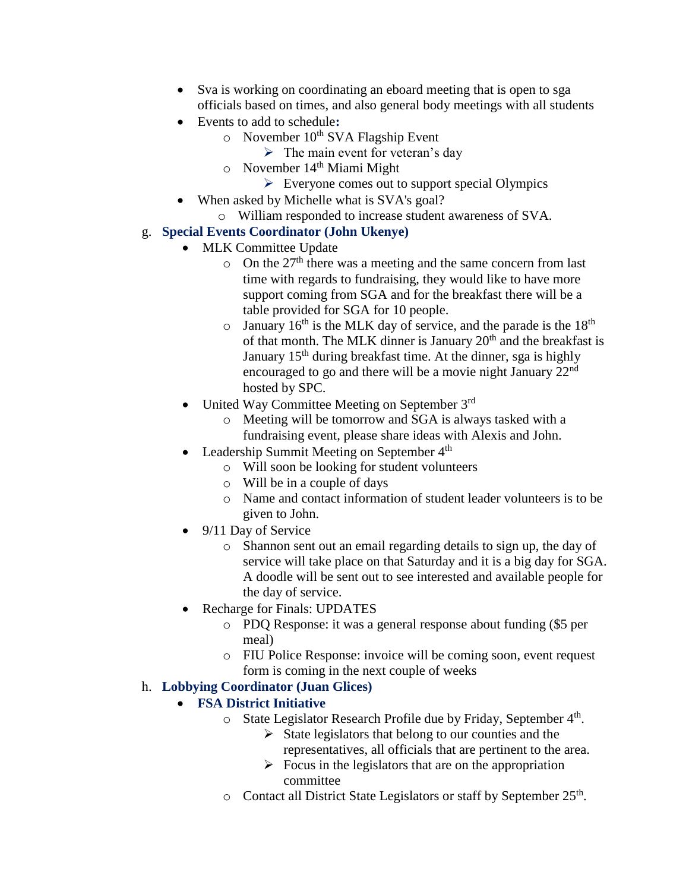- Sva is working on coordinating an eboard meeting that is open to sga officials based on times, and also general body meetings with all students
- Events to add to schedule**:**
	- $\circ$  November 10<sup>th</sup> SVA Flagship Event
		- $\triangleright$  The main event for veteran's day
	- $\circ$  November 14<sup>th</sup> Miami Might
		- $\triangleright$  Everyone comes out to support special Olympics
	- When asked by Michelle what is SVA's goal?
		- o William responded to increase student awareness of SVA.

#### g. **Special Events Coordinator (John Ukenye)**

- MLK Committee Update
	- $\circ$  On the 27<sup>th</sup> there was a meeting and the same concern from last time with regards to fundraising, they would like to have more support coming from SGA and for the breakfast there will be a table provided for SGA for 10 people.
	- $\circ$  January 16<sup>th</sup> is the MLK day of service, and the parade is the 18<sup>th</sup> of that month. The MLK dinner is January  $20<sup>th</sup>$  and the breakfast is January 15<sup>th</sup> during breakfast time. At the dinner, sga is highly encouraged to go and there will be a movie night January  $22<sup>nd</sup>$ hosted by SPC.
- United Way Committee Meeting on September 3rd
	- o Meeting will be tomorrow and SGA is always tasked with a fundraising event, please share ideas with Alexis and John.
- Leadership Summit Meeting on September 4<sup>th</sup>
	- o Will soon be looking for student volunteers
	- o Will be in a couple of days
	- o Name and contact information of student leader volunteers is to be given to John.
- 9/11 Day of Service
	- o Shannon sent out an email regarding details to sign up, the day of service will take place on that Saturday and it is a big day for SGA. A doodle will be sent out to see interested and available people for the day of service.
- Recharge for Finals: UPDATES
	- o PDQ Response: it was a general response about funding (\$5 per meal)
	- o FIU Police Response: invoice will be coming soon, event request form is coming in the next couple of weeks

## h. **Lobbying Coordinator (Juan Glices)**

## **FSA District Initiative**

- $\circ$  State Legislator Research Profile due by Friday, September  $4<sup>th</sup>$ .
	- $\triangleright$  State legislators that belong to our counties and the representatives, all officials that are pertinent to the area.
	- $\triangleright$  Focus in the legislators that are on the appropriation committee
- $\circ$  Contact all District State Legislators or staff by September 25<sup>th</sup>.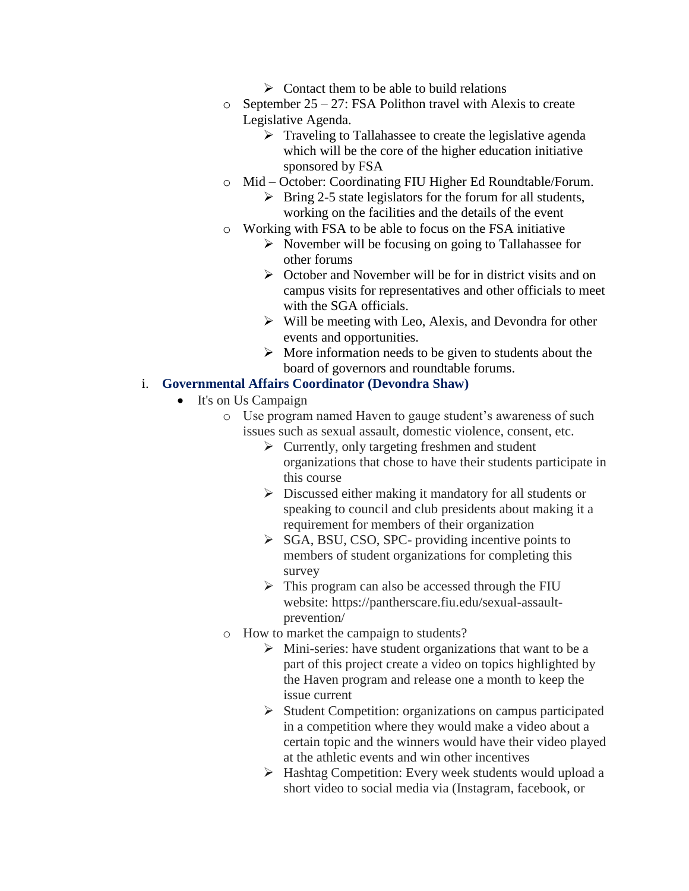- $\triangleright$  Contact them to be able to build relations
- $\circ$  September 25 27: FSA Polithon travel with Alexis to create Legislative Agenda.
	- $\triangleright$  Traveling to Tallahassee to create the legislative agenda which will be the core of the higher education initiative sponsored by FSA
- o Mid October: Coordinating FIU Higher Ed Roundtable/Forum.
	- $\triangleright$  Bring 2-5 state legislators for the forum for all students, working on the facilities and the details of the event
- o Working with FSA to be able to focus on the FSA initiative
	- $\triangleright$  November will be focusing on going to Tallahassee for other forums
	- $\triangleright$  October and November will be for in district visits and on campus visits for representatives and other officials to meet with the SGA officials.
	- $\triangleright$  Will be meeting with Leo, Alexis, and Devondra for other events and opportunities.
	- $\triangleright$  More information needs to be given to students about the board of governors and roundtable forums.

#### i. **Governmental Affairs Coordinator (Devondra Shaw)**

- It's on Us Campaign
	- o Use program named Haven to gauge student's awareness of such issues such as sexual assault, domestic violence, consent, etc.
		- $\triangleright$  Currently, only targeting freshmen and student organizations that chose to have their students participate in this course
		- $\triangleright$  Discussed either making it mandatory for all students or speaking to council and club presidents about making it a requirement for members of their organization
		- $\triangleright$  SGA, BSU, CSO, SPC- providing incentive points to members of student organizations for completing this survey
		- $\triangleright$  This program can also be accessed through the FIU website: https://pantherscare.fiu.edu/sexual-assaultprevention/
	- o How to market the campaign to students?
		- $\triangleright$  Mini-series: have student organizations that want to be a part of this project create a video on topics highlighted by the Haven program and release one a month to keep the issue current
		- $\triangleright$  Student Competition: organizations on campus participated in a competition where they would make a video about a certain topic and the winners would have their video played at the athletic events and win other incentives
		- Hashtag Competition: Every week students would upload a short video to social media via (Instagram, facebook, or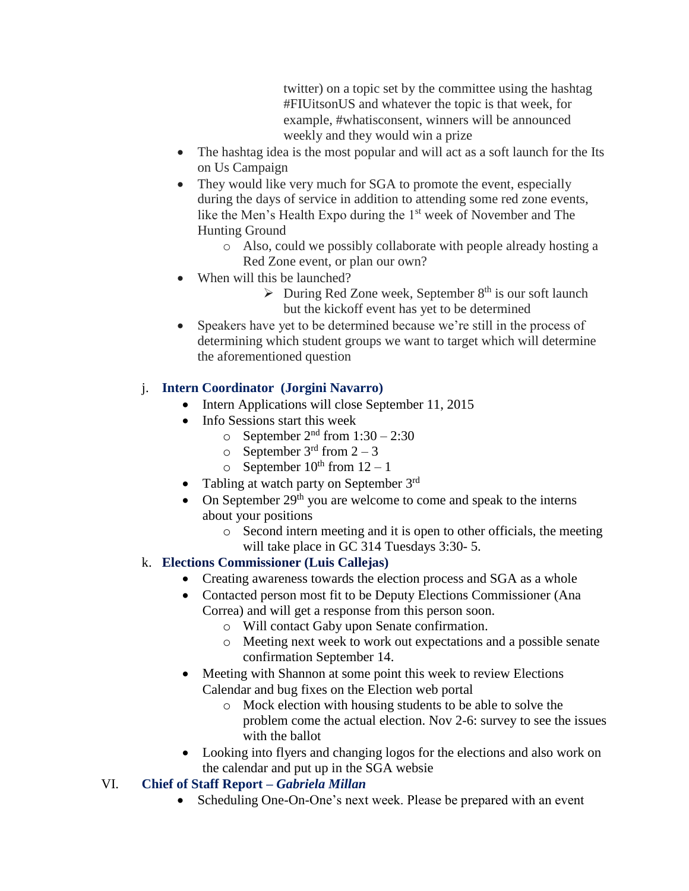twitter) on a topic set by the committee using the hashtag #FIUitsonUS and whatever the topic is that week, for example, #whatisconsent, winners will be announced weekly and they would win a prize

- The hashtag idea is the most popular and will act as a soft launch for the Its on Us Campaign
- They would like very much for SGA to promote the event, especially during the days of service in addition to attending some red zone events, like the Men's Health Expo during the 1<sup>st</sup> week of November and The Hunting Ground
	- o Also, could we possibly collaborate with people already hosting a Red Zone event, or plan our own?
- When will this be launched?
	- $\triangleright$  During Red Zone week, September 8<sup>th</sup> is our soft launch but the kickoff event has yet to be determined
- Speakers have yet to be determined because we're still in the process of determining which student groups we want to target which will determine the aforementioned question

# j. **Intern Coordinator (Jorgini Navarro)**

- Intern Applications will close September 11, 2015
- Info Sessions start this week
	- $\circ$  September 2<sup>nd</sup> from 1:30 2:30
	- $\circ$  September 3<sup>rd</sup> from 2 3
	- $\circ$  September 10<sup>th</sup> from 12 1
- Tabling at watch party on September  $3<sup>rd</sup>$
- $\bullet$  On September 29<sup>th</sup> you are welcome to come and speak to the interns about your positions
	- o Second intern meeting and it is open to other officials, the meeting will take place in GC 314 Tuesdays 3:30- 5.

## k. **Elections Commissioner (Luis Callejas)**

- Creating awareness towards the election process and SGA as a whole
- Contacted person most fit to be Deputy Elections Commissioner (Ana Correa) and will get a response from this person soon.
	- o Will contact Gaby upon Senate confirmation.
	- o Meeting next week to work out expectations and a possible senate confirmation September 14.
- Meeting with Shannon at some point this week to review Elections Calendar and bug fixes on the Election web portal
	- o Mock election with housing students to be able to solve the problem come the actual election. Nov 2-6: survey to see the issues with the ballot
- Looking into flyers and changing logos for the elections and also work on the calendar and put up in the SGA websie

## VI. **Chief of Staff Report –** *Gabriela Millan*

• Scheduling One-On-One's next week. Please be prepared with an event